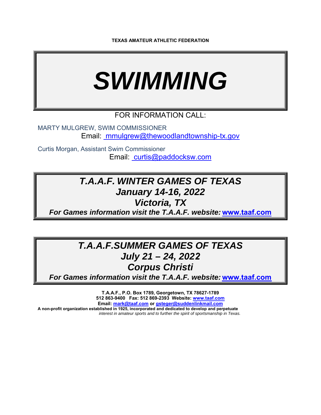# *SWIMMING*

## FOR INFORMATION CALL:

MARTY MULGREW, SWIM COMMISSIONER Email: mmulgrew@thewoodlandtownship-tx.gov

Curtis Morgan, Assistant Swim Commissioner Email: curtis@paddocksw.com

## *T.A.A.F. WINTER GAMES OF TEXAS January 14-16, 2022*

*Victoria, TX* 

*For Games information visit the T.A.A.F. website:* **www.taaf.com**

# *T.A.A.F.SUMMER GAMES OF TEXAS July 21 – 24, 2022 Corpus Christi*

*For Games information visit the T.A.A.F. website:* **www.taaf.com**

**T.A.A.F., P.O. Box 1789, Georgetown, TX 78627-1789 512 863-9400 Fax: 512 869-2393 Website: www.taaf.com Email: mark@taaf.com or gsteger@suddenlinkmail.com A non-profit organization established in 1925, incorporated and dedicated to develop and perpetuate**  *interest in amateur sports and to further the spirit of sportsmanship in Texas.*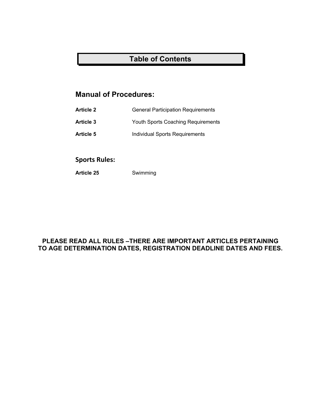## **Table of Contents**

## **Manual of Procedures:**

- **Article 2** General Participation Requirements
- **Article 3** Youth Sports Coaching Requirements
- Article 5 **Individual Sports Requirements**

## **Sports Rules:**

**Article 25** Swimming

## **PLEASE READ ALL RULES –THERE ARE IMPORTANT ARTICLES PERTAINING TO AGE DETERMINATION DATES, REGISTRATION DEADLINE DATES AND FEES.**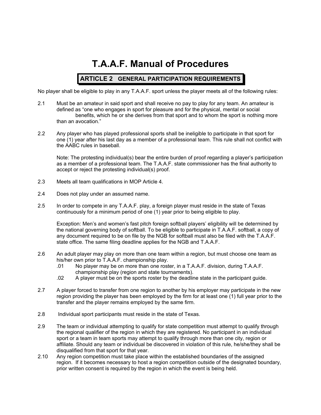# **T.A.A.F. Manual of Procedures**

## **ARTICLE 2 GENERAL PARTICIPATION REQUIREMENTS**

No player shall be eligible to play in any T.A.A.F. sport unless the player meets all of the following rules:

- 2.1 Must be an amateur in said sport and shall receive no pay to play for any team. An amateur is defined as "one who engages in sport for pleasure and for the physical, mental or social benefits, which he or she derives from that sport and to whom the sport is nothing more than an avocation."
- 2.2 Any player who has played professional sports shall be ineligible to participate in that sport for one (1) year after his last day as a member of a professional team. This rule shall not conflict with the AABC rules in baseball.

Note: The protesting individual(s) bear the entire burden of proof regarding a player's participation as a member of a professional team. The T.A.A.F. state commissioner has the final authority to accept or reject the protesting individual(s) proof.

- 2.3 Meets all team qualifications in MOP Article 4.
- 2.4 Does not play under an assumed name.
- 2.5 In order to compete in any T.A.A.F. play, a foreign player must reside in the state of Texas continuously for a minimum period of one (1) year prior to being eligible to play.

Exception: Men's and women's fast pitch foreign softball players' eligibility will be determined by the national governing body of softball. To be eligible to participate in T.A.A.F. softball, a copy of any document required to be on file by the NGB for softball must also be filed with the T.A.A.F. state office. The same filing deadline applies for the NGB and T.A.A.F.

- 2.6 An adult player may play on more than one team within a region, but must choose one team as his/her own prior to T.A.A.F. championship play.
	- .01 No player may be on more than one roster, in a T.A.A.F. division, during T.A.A.F. championship play (region and state tournaments).
	- .02 A player must be on the sports roster by the deadline state in the participant guide.
- 2.7 A player forced to transfer from one region to another by his employer may participate in the new region providing the player has been employed by the firm for at least one (1) full year prior to the transfer and the player remains employed by the same firm.
- 2.8 Individual sport participants must reside in the state of Texas.
- 2.9 The team or individual attempting to qualify for state competition must attempt to qualify through the regional qualifier of the region in which they are registered. No participant in an individual sport or a team in team sports may attempt to qualify through more than one city, region or affiliate. Should any team or individual be discovered in violation of this rule, he/she/they shall be disqualified from that sport for that year.
- 2.10 Any region competition must take place within the established boundaries of the assigned region. If it becomes necessary to host a region competition outside of the designated boundary, prior written consent is required by the region in which the event is being held.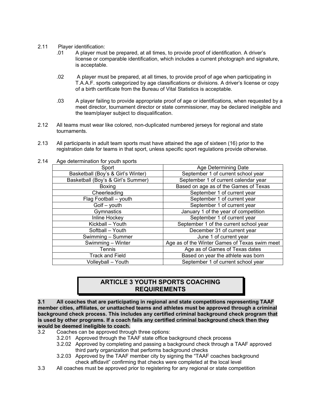- 2.11 Player identification:
	- .01 A player must be prepared, at all times, to provide proof of identification. A driver's license or comparable identification, which includes a current photograph and signature, is acceptable.
	- .02 A player must be prepared, at all times, to provide proof of age when participating in T.A.A.F. sports categorized by age classifications or divisions. A driver's license or copy of a birth certificate from the Bureau of Vital Statistics is acceptable.
	- .03 A player failing to provide appropriate proof of age or identifications, when requested by a meet director, tournament director or state commissioner, may be declared ineligible and the team/player subject to disqualification.
- 2.12 All teams must wear like colored, non-duplicated numbered jerseys for regional and state tournaments.
- 2.13 All participants in adult team sports must have attained the age of sixteen (16) prior to the registration date for teams in that sport, unless specific sport regulations provide otherwise.

| Age Determining Date                          |
|-----------------------------------------------|
| September 1 of current school year            |
| September 1 of current calendar year          |
| Based on age as of the Games of Texas         |
| September 1 of current year                   |
| September 1 of current year                   |
| September 1 of current year                   |
| January 1 of the year of competition          |
| September 1 of current year                   |
| September 1 of the current school year        |
| December 31 of current year                   |
| June 1 of current year                        |
| Age as of the Winter Games of Texas swim meet |
| Age as of Games of Texas dates                |
| Based on year the athlete was born            |
| September 1 of current school year            |
|                                               |

2.14 Age determination for youth sports

## **ARTICLE 3 YOUTH SPORTS COACHING REQUIREMENTS**

**3.1 All coaches that are participating in regional and state competitions representing TAAF member cities, affiliates, or unattached teams and athletes must be approved through a criminal background check process. This includes any certified criminal background check program that is used by other programs. If a coach fails any certified criminal background check then they would be deemed ineligible to coach.** 

- 3.2 Coaches can be approved through three options:
	- 3.2.01 Approved through the TAAF state office background check process
	- 3.2.02 Approved by completing and passing a background check through a TAAF approved third party organization that performs background checks
	- 3.2.03 Approved by the TAAF member city by signing the "TAAF coaches background check affidavit" confirming that checks were completed at the local level
- 3.3 All coaches must be approved prior to registering for any regional or state competition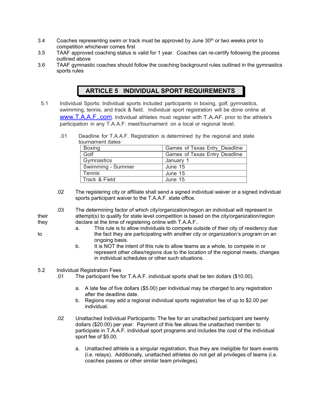- 3.4 Coaches representing swim or track must be approved by June  $30<sup>th</sup>$  or two weeks prior to competition whichever comes first
- 3.5 TAAF approved coaching status is valid for 1 year. Coaches can re-certify following the process outlined above
- 3.6 TAAF gymnastic coaches should follow the coaching background rules outlined in the gymnastics sports rules

## **ARTICLE 5 INDIVIDUAL SPORT REQUIREMENTS**

- 5.1 Individual Sports: Individual sports included participants in boxing, golf, gymnastics, swimming, tennis, and track & field. Individual sport registration will be done online at www.T.A.A.F..com. Individual athletes must register with T.A.AF. prior to the athlete's participation in any T.A.A.F. meet/tournament on a local or regional level.
	- .01 Deadline for T.A.A.F. Registration is determined by the regional and state tournament dates

| Boxing            | Games of Texas Entry Deadline |
|-------------------|-------------------------------|
| Golf              | Games of Texas Entry Deadline |
| Gymnastics        | January 1                     |
| Swimming - Summer | June 15                       |
| <b>Tennis</b>     | June 15                       |
| Track & Field     | June 15                       |

- .02 The registering city or affiliate shall send a signed individual waiver or a signed individual sports participant waiver to the T.A.A.F. state office.
- .03 The determining factor of which city/organization/region an individual will represent in their attempt(s) to qualify for state level competition is based on the city/organization/region they declare at the time of registering online with T.A.A.F..
- 
- a. This rule is to allow individuals to compete outside of their city of residency due to the fact they are participating with another city or organization's program on an ongoing basis.
	- b. It is NOT the intent of this rule to allow teams as a whole, to compete in or represent other cities/regions due to the location of the regional meets, changes in individual schedules or other such situations.

#### 5.2 Individual Registration Fees

- .01 The participant fee for T.A.A.F. individual sports shall be ten dollars (\$10.00).
	- a. A late fee of five dollars (\$5.00) per individual may be charged to any registration after the deadline date.
	- b. Regions may add a regional individual sports registration fee of up to \$2.00 per individual.
- .02 Unattached Individual Participants: The fee for an unattached participant are twenty dollars (\$20.00) per year. Payment of this fee allows the unattached member to participate in T.A.A.F. individual sport programs and includes the cost of the individual sport fee of \$5.00.
	- a. Unattached athlete is a singular registration, thus they are ineligible for team events (i.e. relays). Additionally, unattached athletes do not get all privileges of teams (i.e. coaches passes or other similar team privileges).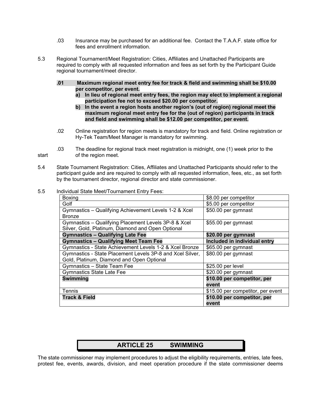- .03 Insurance may be purchased for an additional fee. Contact the T.A.A.F. state office for fees and enrollment information.
- 5.3 Regional Tournament/Meet Registration: Cities, Affiliates and Unattached Participants are required to comply with all requested information and fees as set forth by the Participant Guide regional tournament/meet director.
	- **.01 Maximum regional meet entry fee for track & field and swimming shall be \$10.00 per competitor, per event.** 
		- **a) In lieu of regional meet entry fees, the region may elect to implement a regional participation fee not to exceed \$20.00 per competitor.**
		- **b) In the event a region hosts another region's (out of region) regional meet the maximum regional meet entry fee for the (out of region) participants in track and field and swimming shall be \$12.00 per competitor, per event.**
	- .02 Online registration for region meets is mandatory for track and field. Online registration or Hy-Tek Team/Meet Manager is mandatory for swimming.
- .03 The deadline for regional track meet registration is midnight, one (1) week prior to the start of the region meet.
- 5.4 State Tournament Registration: Cities, Affiliates and Unattached Participants should refer to the participant guide and are required to comply with all requested information, fees, etc., as set forth by the tournament director, regional director and state commissioner.
- 5.5 Individual State Meet/Tournament Entry Fees:

| Boxing                                                    | \$8.00 per competitor             |
|-----------------------------------------------------------|-----------------------------------|
| Golf                                                      | \$5.00 per competitor             |
| Gymnastics - Qualifying Achievement Levels 1-2 & Xcel     | \$50.00 per gymnast               |
| <b>Bronze</b>                                             |                                   |
| Gymnastics - Qualifying Placement Levels 3P-8 & Xcel      | \$55.00 per gymnast               |
| Silver, Gold, Platinum, Diamond and Open Optional         |                                   |
| <b>Gymnastics - Qualifying Late Fee</b>                   | \$20.00 per gymnast               |
| <b>Gymnastics - Qualifying Meet Team Fee</b>              | Included in individual entry      |
| Gymnastics - State Achievement Levels 1-2 & Xcel Bronze   | \$65.00 per gymnast               |
| Gymnastics - State Placement Levels 3P-8 and Xcel Silver, | \$80.00 per gymnast               |
| Gold, Platinum, Diamond and Open Optional                 |                                   |
| Gymnastics - State Team Fee                               | \$25.00 per level                 |
| <b>Gymnastics State Late Fee</b>                          | \$20.00 per gymnast               |
| <b>Swimming</b>                                           | \$10.00 per competitor, per       |
|                                                           | event                             |
| Tennis                                                    | \$15.00 per competitor, per event |
| <b>Track &amp; Field</b>                                  | \$10.00 per competitor, per       |
|                                                           | event                             |

| <b>ARTICLE 25</b> | <b>SWIMMING</b> |
|-------------------|-----------------|
|                   |                 |

The state commissioner may implement procedures to adjust the eligibility requirements, entries, late fees, protest fee, events, awards, division, and meet operation procedure if the state commissioner deems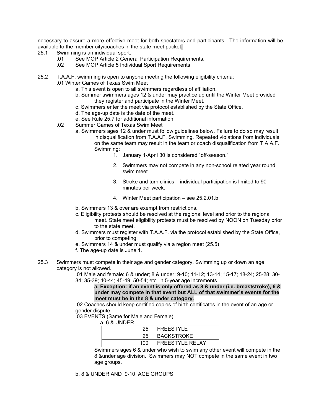necessary to assure a more effective meet for both spectators and participants. The information will be available to the member city/coaches in the state meet packet**.** 

- 25.1 Swimming is an individual sport.
	- .01 See MOP Article 2 General Participation Requirements.
	- .02 See MOP Article 5 Individual Sport Requirements
- 25.2 T.A.A.F. swimming is open to anyone meeting the following eligibility criteria:
	- .01 Winter Games of Texas Swim Meet
		- a. This event is open to all swimmers regardless of affiliation.
		- b. Summer swimmers ages 12 & under may practice up until the Winter Meet provided they register and participate in the Winter Meet.
		- c. Swimmers enter the meet via protocol established by the State Office.
		- d. The age-up date is the date of the meet.
		- e. See Rule 25.7 for additional information.
	- .02 Summer Games of Texas Swim Meet
		- a. Swimmers ages 12 & under must follow guidelines below. Failure to do so may result in disqualification from T.A.A.F. Swimming. Repeated violations from individuals on the same team may result in the team or coach disqualification from T.A.A.F. Swimming:
			- 1. January 1-April 30 is considered "off-season."
			- 2. Swimmers may not compete in any non-school related year round swim meet.
			- 3. Stroke and turn clinics individual participation is limited to 90 minutes per week.
			- 4. Winter Meet participation see 25.2.01.b
		- b. Swimmers 13 & over are exempt from restrictions.
		- c. Eligibility protests should be resolved at the regional level and prior to the regional meet. State meet eligibility protests must be resolved by NOON on Tuesday prior to the state meet.
		- d. Swimmers must register with T.A.A.F. via the protocol established by the State Office, prior to competing.
		- e. Swimmers 14 & under must qualify via a region meet (25.5)
		- f. The age-up date is June 1.
- 25.3 Swimmers must compete in their age and gender category. Swimming up or down an age category is not allowed.

.01 Male and female: 6 & under; 8 & under; 9-10; 11-12; 13-14; 15-17; 18-24; 25-28; 30- 34; 35-39; 40-44; 45-49; 50-54; etc. in 5-year age increments

**a. Exception: if an event is only offered as 8 & under (i.e. breaststroke), 6 & under may compete in that event but ALL of that swimmer's events for the meet must be in the 8 & under category.** 

.02 Coaches should keep certified copies of birth certificates in the event of an age or gender dispute.

.03 EVENTS (Same for Male and Female):

a. 6 & UNDER

| 25. | FREESTYLE              |  |
|-----|------------------------|--|
| 25. | <b>BACKSTROKE</b>      |  |
| 100 | <b>FREESTYLE RELAY</b> |  |

Swimmers ages 6 & under who wish to swim any other event will compete in the 8 &under age division. Swimmers may NOT compete in the same event in two age groups.

b. 8 & UNDER AND 9-10 AGE GROUPS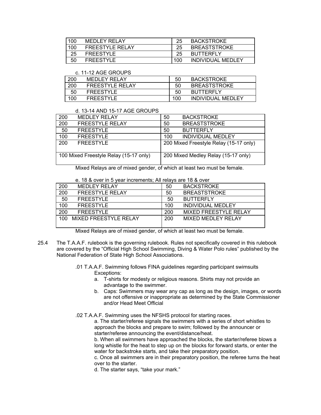| 100 |     | MEDLEY RELAY           | 25  | <b>BACKSTROKE</b>   |
|-----|-----|------------------------|-----|---------------------|
|     | 100 | <b>FREESTYLE RELAY</b> | 25  | <b>BREASTSTROKE</b> |
|     | 25  | <b>FREESTYLE</b>       | 25  | <b>BUTTERFLY</b>    |
|     | 50  | <b>FREESTYLE</b>       | 100 | INDIVIDUAL MEDLEY   |

#### c. 11-12 AGE GROUPS

| 200 | MEDLEY RELAY     | 50  | <b>BACKSTROKE</b>   |
|-----|------------------|-----|---------------------|
| 200 | FREESTYLE RELAY  | 50  | <b>BREASTSTROKE</b> |
| 50  | <b>FREESTYLE</b> | 50  | <b>BUTTERFLY</b>    |
| 100 | <b>FREESTYLE</b> | 100 | INDIVIDUAL MEDLEY   |

#### d. 13-14 AND 15-17 AGE GROUPS

| 200                                    | <b>MEDLEY RELAY</b>    | 50  | <b>BACKSTROKE</b>                      |
|----------------------------------------|------------------------|-----|----------------------------------------|
| 200                                    | <b>FREESTYLE RELAY</b> | 50  | <b>BREASTSTROKE</b>                    |
| 50                                     | <b>FREESTYLE</b>       | 50  | <b>BUTTERFLY</b>                       |
| 100                                    | <b>FREESTYLE</b>       | 100 | <b>INDIVIDUAL MEDLEY</b>               |
| 200                                    | <b>FREESTYLE</b>       |     | 200 Mixed Freestyle Relay (15-17 only) |
| 100 Mixed Freestyle Relay (15-17 only) |                        |     | 200 Mixed Medley Relay (15-17 only)    |

Mixed Relays are of mixed gender, of which at least two must be female.

e. 18 & over in 5 year increments; All relays are 18 & over

| 200              | <b>MEDLEY RELAY</b>    | 50  | <b>BACKSTROKE</b>            |
|------------------|------------------------|-----|------------------------------|
| 200              | <b>FREESTYLE RELAY</b> | 50  | <b>BREASTSTROKE</b>          |
| 50               | <b>FREESTYLE</b>       | 50  | <b>BUTTERFLY</b>             |
| 100              | <b>FREESTYLE</b>       | 100 | <b>INDIVIDUAL MEDLEY</b>     |
| $\overline{200}$ | <b>FREESTYLE</b>       | 200 | <b>MIXED FREESTYLE RELAY</b> |
| 100              | MIXED FREESTYLE RELAY  | 200 | MIXED MEDLEY RELAY           |
|                  |                        |     |                              |

Mixed Relays are of mixed gender, of which at least two must be female.

- 25.4 The T.A.A.F. rulebook is the governing rulebook. Rules not specifically covered in this rulebook are covered by the "Official High School Swimming, Diving & Water Polo rules" published by the National Federation of State High School Associations.
	- .01 T.A.A.F. Swimming follows FINA guidelines regarding participant swimsuits Exceptions:
		- a. T-shirts for modesty or religious reasons. Shirts may not provide an advantage to the swimmer.
		- b. Caps: Swimmers may wear any cap as long as the design, images, or words are not offensive or inappropriate as determined by the State Commissioner and/or Head Meet Official
	- .02 T.A.A.F. Swimming uses the NFSHS protocol for starting races.

a. The starter/referee signals the swimmers with a series of short whistles to approach the blocks and prepare to swim; followed by the announcer or starter/referee announcing the event/distance/heat.

b. When all swimmers have approached the blocks, the starter/referee blows a long whistle for the heat to step up on the blocks for forward starts, or enter the water for backstroke starts, and take their preparatory position.

c. Once all swimmers are in their preparatory position, the referee turns the heat over to the starter.

d. The starter says, "take your mark."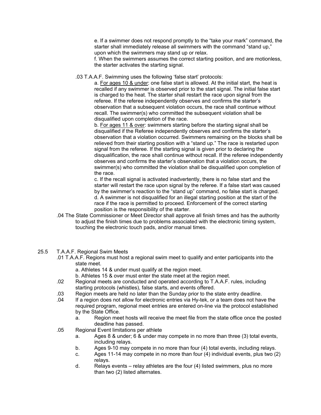e. If a swimmer does not respond promptly to the "take your mark" command, the starter shall immediately release all swimmers with the command "stand up," upon which the swimmers may stand up or relax.

f. When the swimmers assumes the correct starting position, and are motionless, the starter activates the starting signal.

.03 T.A.A.F. Swimming uses the following 'false start' protocols:

a. For ages 10 & under: one false start is allowed. At the initial start, the heat is recalled if any swimmer is observed prior to the start signal. The initial false start is charged to the heat. The starter shall restart the race upon signal from the referee. If the referee independently observes and confirms the starter's observation that a subsequent violation occurs, the race shall continue without recall. The swimmer(s) who committed the subsequent violation shall be disqualified upon completion of the race.

b. For ages 11 & over: swimmers starting before the starting signal shall be disqualified if the Referee independently observes and confirms the starter's observation that a violation occurred. Swimmers remaining on the blocks shall be relieved from their starting position with a "stand up." The race is restarted upon signal from the referee. If the starting signal is given prior to declaring the disqualification, the race shall continue without recall. If the referee independently observes and confirms the starter's observation that a violation occurs, the swimmer(s) who committed the violation shall be disqualified upon completion of the race.

c. If the recall signal is activated inadvertently, there is no false start and the starter will restart the race upon signal by the referee. If a false start was caused by the swimmer's reaction to the "stand up" command, no false start is charged. d. A swimmer is not disqualified for an illegal starting position at the start of the race if the race is permitted to proceed. Enforcement of the correct starting position is the responsibility of the starter.

- .04 The State Commissioner or Meet Director shall approve all finish times and has the authority to adjust the finish times due to problems associated with the electronic timing system, touching the electronic touch pads, and/or manual times.
- 25.5 T.A.A.F. Regional Swim Meets
	- .01 T.A.A.F. Regions must host a regional swim meet to qualify and enter participants into the state meet.
		- a. Athletes 14 & under must qualify at the region meet.
		- b. Athletes 15 & over must enter the state meet at the region meet.
	- .02 Regional meets are conducted and operated according to T.A.A.F. rules, including starting protocols (whistles), false starts, and events offered.
	- .03 Region meets are held no later than the Sunday prior to the state entry deadline.
	- .04 If a region does not allow for electronic entries via Hy-tek, or a team does not have the required program, regional meet entries are entered on-line via the protocol established by the State Office.
		- a. Region meet hosts will receive the meet file from the state office once the posted deadline has passed.
	- .05 Regional Event limitations per athlete
		- a. Ages 8 & under; 6 & under may compete in no more than three (3) total events, including relays.
		- b. Ages 9-10 may compete in no more than four (4) total events, including relays.
		- c. Ages 11-14 may compete in no more than four (4) individual events, plus two (2) relays.
		- d. Relays events relay athletes are the four (4) listed swimmers, plus no more than two (2) listed alternates.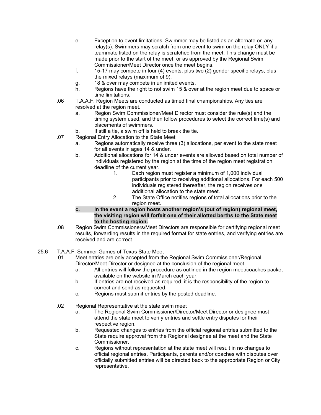- e. Exception to event limitations: Swimmer may be listed as an alternate on any relay(s). Swimmers may scratch from one event to swim on the relay ONLY if a teammate listed on the relay is scratched from the meet. This change must be made prior to the start of the meet, or as approved by the Regional Swim Commissioner/Meet Director once the meet begins.
- f. 15-17 may compete in four (4) events, plus two (2) gender specific relays, plus the mixed relays (maximum of 9).
- g. 18 & over may compete in unlimited events.
- h. Regions have the right to not swim 15 & over at the region meet due to space or time limitations.
- .06 T.A.A.F. Region Meets are conducted as timed final championships. Any ties are resolved at the region meet.
	- a. Region Swim Commissioner/Meet Director must consider the rule(s) and the timing system used, and then follow procedures to select the correct time(s) and placements of swimmers.
	- b. If still a tie, a swim off is held to break the tie.
- .07 Regional Entry Allocation to the State Meet
	- a. Regions automatically receive three (3) allocations, per event to the state meet for all events in ages 14 & under.
	- b. Additional allocations for 14 & under events are allowed based on total number of individuals registered by the region at the time of the region meet registration deadline of the current year.
		- 1. Each region must register a minimum of 1,000 individual participants prior to receiving additional allocations. For each 500 individuals registered thereafter, the region receives one additional allocation to the state meet.
		- 2. The State Office notifies regions of total allocations prior to the region meet.
	- **c. In the event a region hosts another region's (out of region) regional meet, the visiting region will forfeit one of their allotted berths to the State meet to the hosting region.**
- .08 Region Swim Commissioners/Meet Directors are responsible for certifying regional meet results, forwarding results in the required format for state entries, and verifying entries are received and are correct.
- 25.6 T.A.A.F. Summer Games of Texas State Meet
	- .01 Meet entries are only accepted from the Regional Swim Commissioner/Regional Director/Meet Director or designee at the conclusion of the regional meet.
		- a. All entries will follow the procedure as outlined in the region meet/coaches packet available on the website in March each year.
		- b. If entries are not received as required, it is the responsibility of the region to correct and send as requested.
		- c. Regions must submit entries by the posted deadline.
	- .02 Regional Representative at the state swim meet
		- a. The Regional Swim Commissioner/Director/Meet Director or designee must attend the state meet to verify entries and settle entry disputes for their respective region.
		- b. Requested changes to entries from the official regional entries submitted to the State require approval from the Regional designee at the meet and the State Commissioner.
		- c. Regions without representation at the state meet will result in no changes to official regional entries. Participants, parents and/or coaches with disputes over officially submitted entries will be directed back to the appropriate Region or City representative.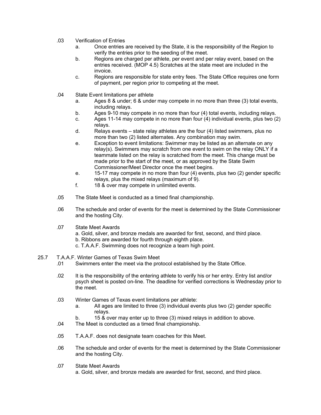- .03 Verification of Entries
	- a. Once entries are received by the State, it is the responsibility of the Region to verify the entries prior to the seeding of the meet.
	- b. Regions are charged per athlete, per event and per relay event, based on the entries received. (MOP 4.5) Scratches at the state meet are included in the invoice.
	- c. Regions are responsible for state entry fees. The State Office requires one form of payment, per region prior to competing at the meet.
- .04 State Event limitations per athlete
	- a. Ages 8 & under; 6 & under may compete in no more than three (3) total events, including relays.
	- b. Ages 9-10 may compete in no more than four (4) total events, including relays.
	- c. Ages 11-14 may compete in no more than four (4) individual events, plus two (2) relays.
	- d. Relays events state relay athletes are the four (4) listed swimmers, plus no more than two (2) listed alternates. Any combination may swim.
	- e. Exception to event limitations: Swimmer may be listed as an alternate on any relay(s). Swimmers may scratch from one event to swim on the relay ONLY if a teammate listed on the relay is scratched from the meet. This change must be made prior to the start of the meet, or as approved by the State Swim Commissioner/Meet Director once the meet begins.
	- e. 15-17 may compete in no more than four (4) events, plus two (2) gender specific relays, plus the mixed relays (maximum of 9).
	- f. 18 & over may compete in unlimited events.
- .05 The State Meet is conducted as a timed final championship.
- .06 The schedule and order of events for the meet is determined by the State Commissioner and the hosting City.
- .07 State Meet Awards
	- a. Gold, silver, and bronze medals are awarded for first, second, and third place.
	- b. Ribbons are awarded for fourth through eighth place.
	- c. T.A.A.F. Swimming does not recognize a team high point.
- 25.7 T.A.A.F. Winter Games of Texas Swim Meet
	- .01 Swimmers enter the meet via the protocol established by the State Office.
	- .02 It is the responsibility of the entering athlete to verify his or her entry. Entry list and/or psych sheet is posted on-line. The deadline for verified corrections is Wednesday prior to the meet.
	- .03 Winter Games of Texas event limitations per athlete:
		- a. All ages are limited to three (3) individual events plus two (2) gender specific relays.
		- b. 15 & over may enter up to three (3) mixed relays in addition to above.
	- .04 The Meet is conducted as a timed final championship.
	- .05 T.A.A.F. does not designate team coaches for this Meet.
	- .06 The schedule and order of events for the meet is determined by the State Commissioner and the hosting City.
	- .07 State Meet Awards
		- a. Gold, silver, and bronze medals are awarded for first, second, and third place.